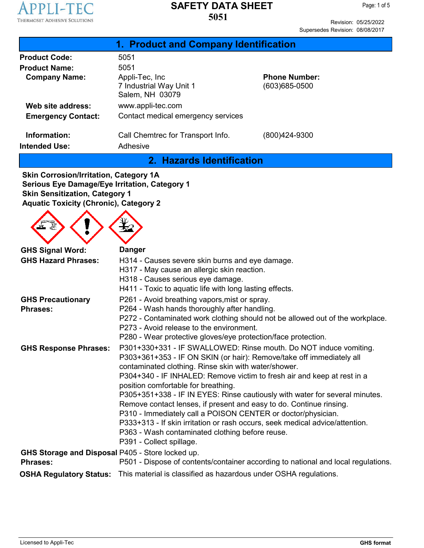

Revision: 05/25/2022 Supersedes Revision: 08/08/2017

| 1. Product and Company Identification                         |                                           |  |  |  |
|---------------------------------------------------------------|-------------------------------------------|--|--|--|
| 5051                                                          |                                           |  |  |  |
| 5051                                                          |                                           |  |  |  |
| Appli-Tec, Inc.<br>7 Industrial Way Unit 1<br>Salem, NH 03079 | <b>Phone Number:</b><br>$(603)685 - 0500$ |  |  |  |
| www.appli-tec.com                                             |                                           |  |  |  |
| Contact medical emergency services                            |                                           |  |  |  |
| Call Chemtrec for Transport Info.<br>Adhesive                 | (800)424-9300                             |  |  |  |
|                                                               |                                           |  |  |  |

**2. Hazards Identification**

**Skin Corrosion/Irritation, Category 1A Serious Eye Damage/Eye Irritation, Category 1 Skin Sensitization, Category 1 Aquatic Toxicity (Chronic), Category 2**

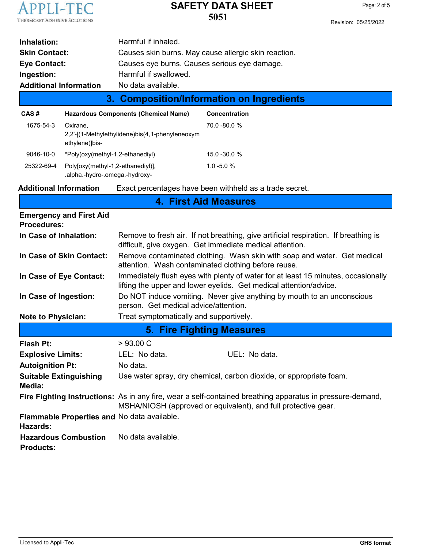

| Inhalation:                                                         |  | Harmful if inhaled.                                          |  |  |
|---------------------------------------------------------------------|--|--------------------------------------------------------------|--|--|
| <b>Skin Contact:</b>                                                |  | Causes skin burns. May cause allergic skin reaction.         |  |  |
| Causes eye burns. Causes serious eye damage.<br><b>Eye Contact:</b> |  |                                                              |  |  |
| Ingestion:                                                          |  | Harmful if swallowed.                                        |  |  |
| <b>Additional Information</b>                                       |  | No data available.                                           |  |  |
| 3. Composition/Information on Ingredients                           |  |                                                              |  |  |
| CAS#                                                                |  | <b>Hazardous Components (Chemical Name)</b><br>Concentration |  |  |

| CAS#       | <b>Hazardous Components (Chemical Name)</b>                                   | Concentratio    |
|------------|-------------------------------------------------------------------------------|-----------------|
| 1675-54-3  | Oxirane.<br>2,2'-[(1-Methylethylidene)bis(4,1-phenyleneoxym<br>ethylene)]bis- | 70.0 -80.0 %    |
| 9046-10-0  | *Poly(oxy(methyl-1,2-ethanediyl)                                              | $15.0 - 30.0 %$ |
| 25322-69-4 | Polyloxy(methyl-1,2-ethanediyl)],<br>.alpha.-hydro-.omega.-hydroxy-           | $1.0 - 5.0 %$   |

**Additional Information** Exact percentages have been withheld as a trade secret.

| <b>4. First Aid Measures</b>                            |                                                                                                                                                         |                                                                                                           |  |  |
|---------------------------------------------------------|---------------------------------------------------------------------------------------------------------------------------------------------------------|-----------------------------------------------------------------------------------------------------------|--|--|
| <b>Emergency and First Aid</b><br><b>Procedures:</b>    |                                                                                                                                                         |                                                                                                           |  |  |
| In Case of Inhalation:                                  | Remove to fresh air. If not breathing, give artificial respiration. If breathing is<br>difficult, give oxygen. Get immediate medical attention.         |                                                                                                           |  |  |
| In Case of Skin Contact:                                | Remove contaminated clothing. Wash skin with soap and water. Get medical<br>attention. Wash contaminated clothing before reuse.                         |                                                                                                           |  |  |
| In Case of Eye Contact:                                 | Immediately flush eyes with plenty of water for at least 15 minutes, occasionally<br>lifting the upper and lower eyelids. Get medical attention/advice. |                                                                                                           |  |  |
| In Case of Ingestion:                                   | Do NOT induce vomiting. Never give anything by mouth to an unconscious<br>person. Get medical advice/attention.                                         |                                                                                                           |  |  |
| <b>Note to Physician:</b>                               | Treat symptomatically and supportively.                                                                                                                 |                                                                                                           |  |  |
| <b>5. Fire Fighting Measures</b>                        |                                                                                                                                                         |                                                                                                           |  |  |
|                                                         |                                                                                                                                                         |                                                                                                           |  |  |
| <b>Flash Pt:</b>                                        | >93.00 C                                                                                                                                                |                                                                                                           |  |  |
| <b>Explosive Limits:</b>                                | LEL: No data.                                                                                                                                           | UEL: No data.                                                                                             |  |  |
| <b>Autoignition Pt:</b>                                 | No data.                                                                                                                                                |                                                                                                           |  |  |
| <b>Suitable Extinguishing</b><br>Media:                 |                                                                                                                                                         | Use water spray, dry chemical, carbon dioxide, or appropriate foam.                                       |  |  |
|                                                         | MSHA/NIOSH (approved or equivalent), and full protective gear.                                                                                          | Fire Fighting Instructions: As in any fire, wear a self-contained breathing apparatus in pressure-demand, |  |  |
| Flammable Properties and No data available.<br>Hazards: |                                                                                                                                                         |                                                                                                           |  |  |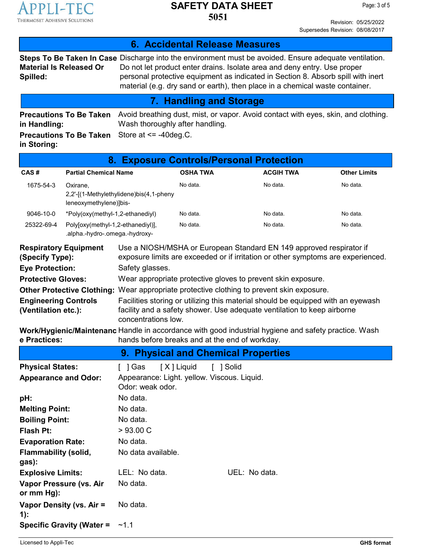

Revision: 05/25/2022 Supersedes Revision: 08/08/2017

| 6. Accidental Release Measures                                                                                                                                                                                                                                                                                                                                                                                                                                                                                                                                                                                                                                                                                                                                                                                                                                          |                                                                     |                                                                                                                                                                                                                                                                                                                                                               |                 |                                |                  |                     |
|-------------------------------------------------------------------------------------------------------------------------------------------------------------------------------------------------------------------------------------------------------------------------------------------------------------------------------------------------------------------------------------------------------------------------------------------------------------------------------------------------------------------------------------------------------------------------------------------------------------------------------------------------------------------------------------------------------------------------------------------------------------------------------------------------------------------------------------------------------------------------|---------------------------------------------------------------------|---------------------------------------------------------------------------------------------------------------------------------------------------------------------------------------------------------------------------------------------------------------------------------------------------------------------------------------------------------------|-----------------|--------------------------------|------------------|---------------------|
| <b>Material Is Released Or</b><br>Spilled:                                                                                                                                                                                                                                                                                                                                                                                                                                                                                                                                                                                                                                                                                                                                                                                                                              |                                                                     | <b>Steps To Be Taken In Case</b> Discharge into the environment must be avoided. Ensure adequate ventilation.<br>Do not let product enter drains. Isolate area and deny entry. Use proper<br>personal protective equipment as indicated in Section 8. Absorb spill with inert<br>material (e.g. dry sand or earth), then place in a chemical waste container. |                 |                                |                  |                     |
|                                                                                                                                                                                                                                                                                                                                                                                                                                                                                                                                                                                                                                                                                                                                                                                                                                                                         |                                                                     |                                                                                                                                                                                                                                                                                                                                                               |                 | <b>7. Handling and Storage</b> |                  |                     |
| Avoid breathing dust, mist, or vapor. Avoid contact with eyes, skin, and clothing.<br><b>Precautions To Be Taken</b><br>Wash thoroughly after handling.<br>in Handling:<br>Store at $\le$ -40 deg.C.<br><b>Precautions To Be Taken</b><br>in Storing:                                                                                                                                                                                                                                                                                                                                                                                                                                                                                                                                                                                                                   |                                                                     |                                                                                                                                                                                                                                                                                                                                                               |                 |                                |                  |                     |
|                                                                                                                                                                                                                                                                                                                                                                                                                                                                                                                                                                                                                                                                                                                                                                                                                                                                         |                                                                     | 8. Exposure Controls/Personal Protection                                                                                                                                                                                                                                                                                                                      |                 |                                |                  |                     |
| CAS#                                                                                                                                                                                                                                                                                                                                                                                                                                                                                                                                                                                                                                                                                                                                                                                                                                                                    | <b>Partial Chemical Name</b>                                        |                                                                                                                                                                                                                                                                                                                                                               | <b>OSHA TWA</b> |                                | <b>ACGIH TWA</b> | <b>Other Limits</b> |
| 1675-54-3                                                                                                                                                                                                                                                                                                                                                                                                                                                                                                                                                                                                                                                                                                                                                                                                                                                               | Oxirane,<br>leneoxymethylene)]bis-                                  | 2,2'-[(1-Methylethylidene)bis(4,1-pheny                                                                                                                                                                                                                                                                                                                       | No data.        |                                | No data.         | No data.            |
| 9046-10-0                                                                                                                                                                                                                                                                                                                                                                                                                                                                                                                                                                                                                                                                                                                                                                                                                                                               | *Poly(oxy(methyl-1,2-ethanediyl)                                    |                                                                                                                                                                                                                                                                                                                                                               | No data.        |                                | No data.         | No data.            |
| 25322-69-4                                                                                                                                                                                                                                                                                                                                                                                                                                                                                                                                                                                                                                                                                                                                                                                                                                                              | Poly[oxy(methyl-1,2-ethanediyl)],<br>.alpha.-hydro-.omega.-hydroxy- |                                                                                                                                                                                                                                                                                                                                                               | No data.        |                                | No data.         | No data.            |
| Use a NIOSH/MSHA or European Standard EN 149 approved respirator if<br><b>Respiratory Equipment</b><br>exposure limits are exceeded or if irritation or other symptoms are experienced.<br>(Specify Type):<br><b>Eye Protection:</b><br>Safety glasses.<br><b>Protective Gloves:</b><br>Wear appropriate protective gloves to prevent skin exposure.<br>Other Protective Clothing: Wear appropriate protective clothing to prevent skin exposure.<br>Facilities storing or utilizing this material should be equipped with an eyewash<br><b>Engineering Controls</b><br>facility and a safety shower. Use adequate ventilation to keep airborne<br>(Ventilation etc.):<br>concentrations low.<br>Work/Hygienic/Maintenanc Handle in accordance with good industrial hygiene and safety practice. Wash<br>hands before breaks and at the end of workday.<br>e Practices: |                                                                     |                                                                                                                                                                                                                                                                                                                                                               |                 |                                |                  |                     |
|                                                                                                                                                                                                                                                                                                                                                                                                                                                                                                                                                                                                                                                                                                                                                                                                                                                                         |                                                                     | 9. Physical and Chemical Properties                                                                                                                                                                                                                                                                                                                           |                 |                                |                  |                     |
| <b>Physical States:</b><br><b>Appearance and Odor:</b>                                                                                                                                                                                                                                                                                                                                                                                                                                                                                                                                                                                                                                                                                                                                                                                                                  |                                                                     | [ ] Gas<br>Appearance: Light. yellow. Viscous. Liquid.<br>Odor: weak odor.                                                                                                                                                                                                                                                                                    | [X] Liquid      | [ ] Solid                      |                  |                     |
| pH:                                                                                                                                                                                                                                                                                                                                                                                                                                                                                                                                                                                                                                                                                                                                                                                                                                                                     |                                                                     | No data.                                                                                                                                                                                                                                                                                                                                                      |                 |                                |                  |                     |
| <b>Melting Point:</b>                                                                                                                                                                                                                                                                                                                                                                                                                                                                                                                                                                                                                                                                                                                                                                                                                                                   |                                                                     | No data.                                                                                                                                                                                                                                                                                                                                                      |                 |                                |                  |                     |
| <b>Boiling Point:</b>                                                                                                                                                                                                                                                                                                                                                                                                                                                                                                                                                                                                                                                                                                                                                                                                                                                   |                                                                     | No data.                                                                                                                                                                                                                                                                                                                                                      |                 |                                |                  |                     |
| Flash Pt:                                                                                                                                                                                                                                                                                                                                                                                                                                                                                                                                                                                                                                                                                                                                                                                                                                                               |                                                                     | >93.00 C                                                                                                                                                                                                                                                                                                                                                      |                 |                                |                  |                     |
| <b>Evaporation Rate:</b>                                                                                                                                                                                                                                                                                                                                                                                                                                                                                                                                                                                                                                                                                                                                                                                                                                                |                                                                     | No data.                                                                                                                                                                                                                                                                                                                                                      |                 |                                |                  |                     |
| <b>Flammability (solid,</b><br>gas):                                                                                                                                                                                                                                                                                                                                                                                                                                                                                                                                                                                                                                                                                                                                                                                                                                    |                                                                     | No data available.                                                                                                                                                                                                                                                                                                                                            |                 |                                |                  |                     |
| <b>Explosive Limits:</b>                                                                                                                                                                                                                                                                                                                                                                                                                                                                                                                                                                                                                                                                                                                                                                                                                                                |                                                                     | LEL: No data.                                                                                                                                                                                                                                                                                                                                                 |                 | UEL: No data.                  |                  |                     |
| Vapor Pressure (vs. Air<br>or mm Hg):                                                                                                                                                                                                                                                                                                                                                                                                                                                                                                                                                                                                                                                                                                                                                                                                                                   |                                                                     | No data.                                                                                                                                                                                                                                                                                                                                                      |                 |                                |                  |                     |
| Vapor Density (vs. Air =<br>1):                                                                                                                                                                                                                                                                                                                                                                                                                                                                                                                                                                                                                                                                                                                                                                                                                                         |                                                                     | No data.                                                                                                                                                                                                                                                                                                                                                      |                 |                                |                  |                     |
|                                                                                                                                                                                                                                                                                                                                                                                                                                                                                                                                                                                                                                                                                                                                                                                                                                                                         | <b>Specific Gravity (Water =</b>                                    | ~1.1                                                                                                                                                                                                                                                                                                                                                          |                 |                                |                  |                     |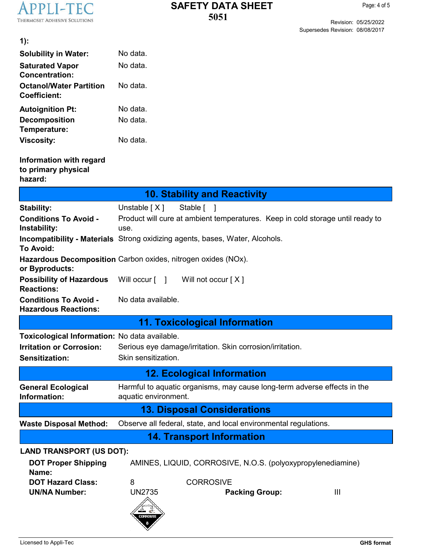

Revision: 05/25/2022 Supersedes Revision: 08/08/2017

| $1)$ :                                                      |                                                                                                  |  |  |
|-------------------------------------------------------------|--------------------------------------------------------------------------------------------------|--|--|
| <b>Solubility in Water:</b>                                 | No data.                                                                                         |  |  |
| <b>Saturated Vapor</b><br><b>Concentration:</b>             | No data.                                                                                         |  |  |
| <b>Octanol/Water Partition</b><br><b>Coefficient:</b>       | No data.                                                                                         |  |  |
| <b>Autoignition Pt:</b>                                     | No data.                                                                                         |  |  |
| <b>Decomposition</b><br>Temperature:                        | No data.                                                                                         |  |  |
| <b>Viscosity:</b>                                           | No data.                                                                                         |  |  |
| Information with regard<br>to primary physical<br>hazard:   |                                                                                                  |  |  |
|                                                             | <b>10. Stability and Reactivity</b>                                                              |  |  |
| <b>Stability:</b>                                           | Unstable $[X]$<br>Stable [ ]                                                                     |  |  |
| <b>Conditions To Avoid -</b><br>Instability:                | Product will cure at ambient temperatures. Keep in cold storage until ready to<br>use.           |  |  |
| To Avoid:                                                   | <b>Incompatibility - Materials</b> Strong oxidizing agents, bases, Water, Alcohols.              |  |  |
| or Byproducts:                                              | Hazardous Decomposition Carbon oxides, nitrogen oxides (NOx).                                    |  |  |
| <b>Possibility of Hazardous</b><br><b>Reactions:</b>        | Will occur [ ]<br>Will not occur [X]                                                             |  |  |
| <b>Conditions To Avoid -</b><br><b>Hazardous Reactions:</b> | No data available.                                                                               |  |  |
|                                                             | 11. Toxicological Information                                                                    |  |  |
| Toxicological Information: No data available.               |                                                                                                  |  |  |
| <b>Irritation or Corrosion:</b>                             | Serious eye damage/irritation. Skin corrosion/irritation.                                        |  |  |
| Sensitization:                                              | Skin sensitization.                                                                              |  |  |
|                                                             | <b>12. Ecological Information</b>                                                                |  |  |
| <b>General Ecological</b><br>Information:                   | Harmful to aquatic organisms, may cause long-term adverse effects in the<br>aquatic environment. |  |  |
|                                                             | <b>13. Disposal Considerations</b>                                                               |  |  |
| <b>Waste Disposal Method:</b>                               | Observe all federal, state, and local environmental regulations.                                 |  |  |
|                                                             | <b>14. Transport Information</b>                                                                 |  |  |
| <b>LAND TRANSPORT (US DOT):</b>                             |                                                                                                  |  |  |
| <b>DOT Proper Shipping</b><br>Name:                         | AMINES, LIQUID, CORROSIVE, N.O.S. (polyoxypropylenediamine)                                      |  |  |
| <b>DOT Hazard Class:</b>                                    | <b>CORROSIVE</b><br>8                                                                            |  |  |
| <b>UN/NA Number:</b>                                        | <b>UN2735</b><br>$\mathbf{III}$<br><b>Packing Group:</b>                                         |  |  |
|                                                             | é<br><b>CORROSIVE</b>                                                                            |  |  |